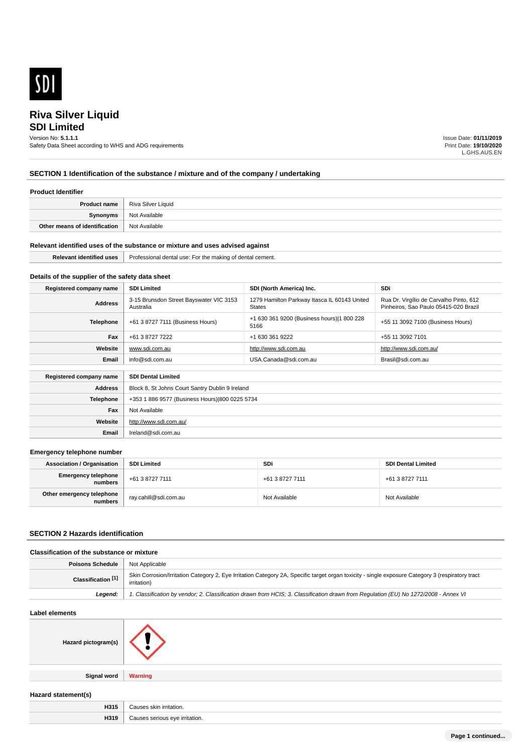

## **SDI Limited**

Version No: **5.1.1.1**

Safety Data Sheet according to WHS and ADG requirements

Issue Date: **01/11/2019** Print Date: **19/10/2020** L.GHS.AUS.EN

## **SECTION 1 Identification of the substance / mixture and of the company / undertaking**

#### **Product Identifier**

| Product name                  | Riva Silver Liquid |
|-------------------------------|--------------------|
| Synonyms                      | Not Available      |
| Other means of identification | Not Available      |

#### **Relevant identified uses of the substance or mixture and uses advised against**

| <b>Polovar</b><br>ntified<br>uses<br>. Ider | Professional dental<br>cement.<br>. makinc<br>USe <sup>.</sup><br>of dental<br>:the<br>۰OI |
|---------------------------------------------|--------------------------------------------------------------------------------------------|
|                                             |                                                                                            |

## **Details of the supplier of the safety data sheet**

**Website**

**Email** Ireland@sdi.com.au

http://www.sdi.com.au/

| Registered company name                              | <b>SDI Limited</b>                                            | SDI (North America) Inc.                                      | <b>SDi</b>                                                                       |  |
|------------------------------------------------------|---------------------------------------------------------------|---------------------------------------------------------------|----------------------------------------------------------------------------------|--|
| <b>Address</b>                                       | 3-15 Brunsdon Street Bayswater VIC 3153<br>Australia          | 1279 Hamilton Parkway Itasca IL 60143 United<br><b>States</b> | Rua Dr. Virgílio de Carvalho Pinto, 612<br>Pinheiros. Sao Paulo 05415-020 Brazil |  |
| Telephone                                            | +61 3 8727 7111 (Business Hours)                              | +1 630 361 9200 (Business hours) 1 800 228<br>5166            | +55 11 3092 7100 (Business Hours)                                                |  |
| Fax                                                  | +61 3 8727 7222                                               | +1 630 361 9222                                               | +55 11 3092 7101                                                                 |  |
| Website                                              | www.sdi.com.au                                                | http://www.sdi.com.au                                         | http://www.sdi.com.au/                                                           |  |
| Email                                                | info@sdi.com.au<br>USA.Canada@sdi.com.au<br>Brasil@sdi.com.au |                                                               |                                                                                  |  |
| <b>SDI Dental Limited</b><br>Registered company name |                                                               |                                                               |                                                                                  |  |
| <b>Address</b>                                       | Block 8, St Johns Court Santry Dublin 9 Ireland               |                                                               |                                                                                  |  |
| <b>Telephone</b>                                     | +353 1 886 9577 (Business Hours) 800 0225 5734                |                                                               |                                                                                  |  |
| Fax                                                  | Not Available                                                 |                                                               |                                                                                  |  |

#### **Emergency telephone number**

| <b>Association / Organisation</b>    | <b>SDI Limited</b>    | SDi             | <b>SDI Dental Limited</b> |
|--------------------------------------|-----------------------|-----------------|---------------------------|
| Emergency telephone<br>numbers       | +61 3 8727 7111       | +61 3 8727 7111 | +61 3 8727 7111           |
| Other emergency telephone<br>numbers | ray.cahill@sdi.com.au | Not Available   | Not Available             |

#### **SECTION 2 Hazards identification**

## **Classification of the substance or mixture**

| Poisons Schedule          | <sup>1</sup> Not Applicable                                                                                                                                     |
|---------------------------|-----------------------------------------------------------------------------------------------------------------------------------------------------------------|
| <b>Classification</b> [1] | Skin Corrosion/Irritation Category 2, Eye Irritation Category 2A, Specific target organ toxicity - single exposure Category 3 (respiratory tract<br>irritation) |
| Leaend:                   | 1. Classification by vendor; 2. Classification drawn from HCIS; 3. Classification drawn from Regulation (EU) No 1272/2008 - Annex VI                            |

#### **Label elements**

| Hazard pictogram(s) |                |
|---------------------|----------------|
| <b>Signal word</b>  | <b>Warning</b> |

## **Hazard statement(s)**

| H315 | alein<br>ritation.<br>.             |
|------|-------------------------------------|
| H319 | irritation.<br>010<br>erious :<br>. |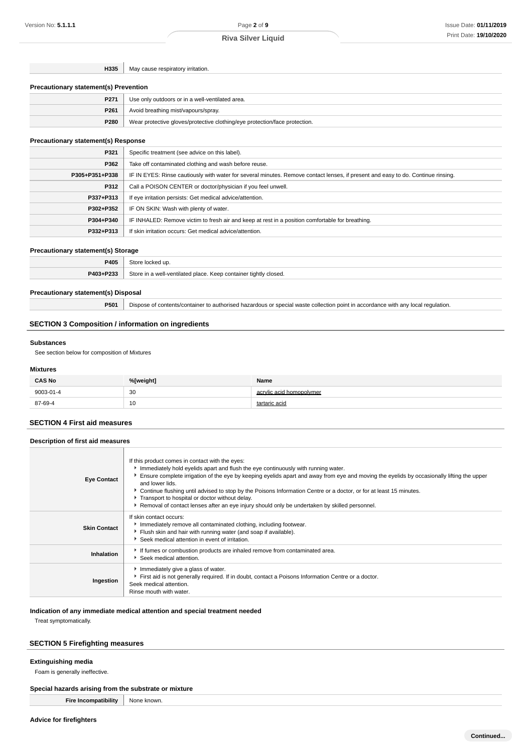**H335** May cause respiratory irritation.

#### **Precautionary statement(s) Prevention**

| P <sub>271</sub> | Use only outdoors or in a well-ventilated area.                            |
|------------------|----------------------------------------------------------------------------|
| P261             | Avoid breathing mist/vapours/spray.                                        |
| P280             | Wear protective gloves/protective clothing/eye protection/face protection. |

## **Precautionary statement(s) Response**

| P321           | Specific treatment (see advice on this label).                                                                                   |
|----------------|----------------------------------------------------------------------------------------------------------------------------------|
| P362           | Take off contaminated clothing and wash before reuse.                                                                            |
| P305+P351+P338 | IF IN EYES: Rinse cautiously with water for several minutes. Remove contact lenses, if present and easy to do. Continue rinsing. |
| P312           | Call a POISON CENTER or doctor/physician if you feel unwell.                                                                     |
| P337+P313      | If eye irritation persists: Get medical advice/attention.                                                                        |
| P302+P352      | IF ON SKIN: Wash with plenty of water.                                                                                           |
| P304+P340      | IF INHALED: Remove victim to fresh air and keep at rest in a position comfortable for breathing.                                 |
| P332+P313      | If skin irritation occurs: Get medical advice/attention.                                                                         |

#### **Precautionary statement(s) Storage**

|                                                                                                           | DANA |  |
|-----------------------------------------------------------------------------------------------------------|------|--|
| <b>DA03+D233</b><br>$_{7}$ tore<br>. Keep container tightly closed.<br>a well-ventilated place.<br>uldus. |      |  |

#### **Precautionary statement(s) Disposal**

**P501** Dispose of contents/container to authorised hazardous or special waste collection point in accordance with any local regulation.

## **SECTION 3 Composition / information on ingredients**

#### **Substances**

See section below for composition of Mixtures

#### **Mixtures**

| <b>CAS No</b> | %[weight] | Name                     |
|---------------|-----------|--------------------------|
| 9003-01-4     | 30<br>- - | acrylic acid homopolymer |
| 87-69-4       | 10        | tartaric acid            |

# **SECTION 4 First aid measures Description of first aid measures**

| <b>Eye Contact</b>  | If this product comes in contact with the eyes:<br>Immediately hold eyelids apart and flush the eye continuously with running water.<br>Ensure complete irrigation of the eye by keeping eyelids apart and away from eye and moving the eyelids by occasionally lifting the upper<br>and lower lids.<br>► Continue flushing until advised to stop by the Poisons Information Centre or a doctor, or for at least 15 minutes.<br>Transport to hospital or doctor without delay.<br>Removal of contact lenses after an eye injury should only be undertaken by skilled personnel. |
|---------------------|---------------------------------------------------------------------------------------------------------------------------------------------------------------------------------------------------------------------------------------------------------------------------------------------------------------------------------------------------------------------------------------------------------------------------------------------------------------------------------------------------------------------------------------------------------------------------------|
| <b>Skin Contact</b> | If skin contact occurs:<br>Immediately remove all contaminated clothing, including footwear.<br>Flush skin and hair with running water (and soap if available).<br>▶ Seek medical attention in event of irritation.                                                                                                                                                                                                                                                                                                                                                             |
| Inhalation          | If fumes or combustion products are inhaled remove from contaminated area.<br>Seek medical attention.                                                                                                                                                                                                                                                                                                                                                                                                                                                                           |
| Ingestion           | Immediately give a glass of water.<br>First aid is not generally required. If in doubt, contact a Poisons Information Centre or a doctor.<br>Seek medical attention.<br>Rinse mouth with water.                                                                                                                                                                                                                                                                                                                                                                                 |

#### **Indication of any immediate medical attention and special treatment needed**

Treat symptomatically.

#### **SECTION 5 Firefighting measures**

## **Extinguishing media**

Foam is generally ineffective.

## **Special hazards arising from the substrate or mixture**

**Fire Incompatibility** None known.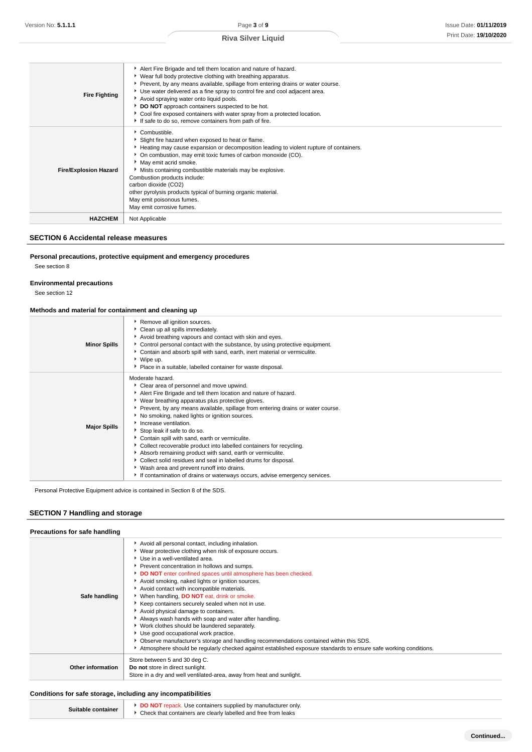| <b>Fire Fighting</b>         | Alert Fire Brigade and tell them location and nature of hazard.<br>▶ Wear full body protective clothing with breathing apparatus.<br>▶ Prevent, by any means available, spillage from entering drains or water course.<br>▶ Use water delivered as a fine spray to control fire and cool adjacent area.<br>Avoid spraying water onto liquid pools.<br>DO NOT approach containers suspected to be hot.<br>Cool fire exposed containers with water spray from a protected location.<br>If safe to do so, remove containers from path of fire. |
|------------------------------|---------------------------------------------------------------------------------------------------------------------------------------------------------------------------------------------------------------------------------------------------------------------------------------------------------------------------------------------------------------------------------------------------------------------------------------------------------------------------------------------------------------------------------------------|
| <b>Fire/Explosion Hazard</b> | Combustible.<br>Slight fire hazard when exposed to heat or flame.<br>Heating may cause expansion or decomposition leading to violent rupture of containers.<br>• On combustion, may emit toxic fumes of carbon monoxide (CO).<br>May emit acrid smoke.<br>Mists containing combustible materials may be explosive.<br>Combustion products include:<br>carbon dioxide (CO2)<br>other pyrolysis products typical of burning organic material.<br>May emit poisonous fumes.<br>May emit corrosive fumes.                                       |
| <b>HAZCHEM</b>               | Not Applicable                                                                                                                                                                                                                                                                                                                                                                                                                                                                                                                              |

#### **SECTION 6 Accidental release measures**

## **Personal precautions, protective equipment and emergency procedures**

See section 8

#### **Environmental precautions**

See section 12

## **Methods and material for containment and cleaning up**

| <b>Minor Spills</b> | Remove all ignition sources.<br>Clean up all spills immediately.<br>Avoid breathing vapours and contact with skin and eyes.<br>▶ Control personal contact with the substance, by using protective equipment.<br>Contain and absorb spill with sand, earth, inert material or vermiculite.<br>▶ Wipe up.<br>• Place in a suitable, labelled container for waste disposal.                                                                                                                                                                                                                                                                                                                                                                                                  |
|---------------------|---------------------------------------------------------------------------------------------------------------------------------------------------------------------------------------------------------------------------------------------------------------------------------------------------------------------------------------------------------------------------------------------------------------------------------------------------------------------------------------------------------------------------------------------------------------------------------------------------------------------------------------------------------------------------------------------------------------------------------------------------------------------------|
| <b>Major Spills</b> | Moderate hazard.<br>Clear area of personnel and move upwind.<br>Alert Fire Brigade and tell them location and nature of hazard.<br>▶ Wear breathing apparatus plus protective gloves.<br>▶ Prevent, by any means available, spillage from entering drains or water course.<br>No smoking, naked lights or ignition sources.<br>Increase ventilation.<br>Stop leak if safe to do so.<br>Contain spill with sand, earth or vermiculite.<br>Collect recoverable product into labelled containers for recycling.<br>Absorb remaining product with sand, earth or vermiculite.<br>Collect solid residues and seal in labelled drums for disposal.<br>▶ Wash area and prevent runoff into drains.<br>If contamination of drains or waterways occurs, advise emergency services. |

Personal Protective Equipment advice is contained in Section 8 of the SDS.

## **SECTION 7 Handling and storage**

| Precautions for safe handling |                                                                                                                                                                                                                                                                                                                                                                                                                                                                                                                                                                                                                                                                                                                                                                                                                                                                                  |
|-------------------------------|----------------------------------------------------------------------------------------------------------------------------------------------------------------------------------------------------------------------------------------------------------------------------------------------------------------------------------------------------------------------------------------------------------------------------------------------------------------------------------------------------------------------------------------------------------------------------------------------------------------------------------------------------------------------------------------------------------------------------------------------------------------------------------------------------------------------------------------------------------------------------------|
| Safe handling                 | Avoid all personal contact, including inhalation.<br>▶ Wear protective clothing when risk of exposure occurs.<br>Use in a well-ventilated area.<br>Prevent concentration in hollows and sumps.<br>DO NOT enter confined spaces until atmosphere has been checked.<br>Avoid smoking, naked lights or ignition sources.<br>Avoid contact with incompatible materials.<br>▶ When handling, DO NOT eat, drink or smoke.<br>Keep containers securely sealed when not in use.<br>Avoid physical damage to containers.<br>Always wash hands with soap and water after handling.<br>• Work clothes should be laundered separately.<br>Use good occupational work practice.<br>Observe manufacturer's storage and handling recommendations contained within this SDS.<br>Atmosphere should be regularly checked against established exposure standards to ensure safe working conditions. |
| <b>Other information</b>      | Store between 5 and 30 deg C.<br>Do not store in direct sunlight.<br>Store in a dry and well ventilated-area, away from heat and sunlight.                                                                                                                                                                                                                                                                                                                                                                                                                                                                                                                                                                                                                                                                                                                                       |

#### **Conditions for safe storage, including any incompatibilities**

| Suitable container | <b>DO NOT</b> repack. Use containers supplied by manufacturer only.<br>Check that containers are clearly labelled and free from leaks |
|--------------------|---------------------------------------------------------------------------------------------------------------------------------------|
|--------------------|---------------------------------------------------------------------------------------------------------------------------------------|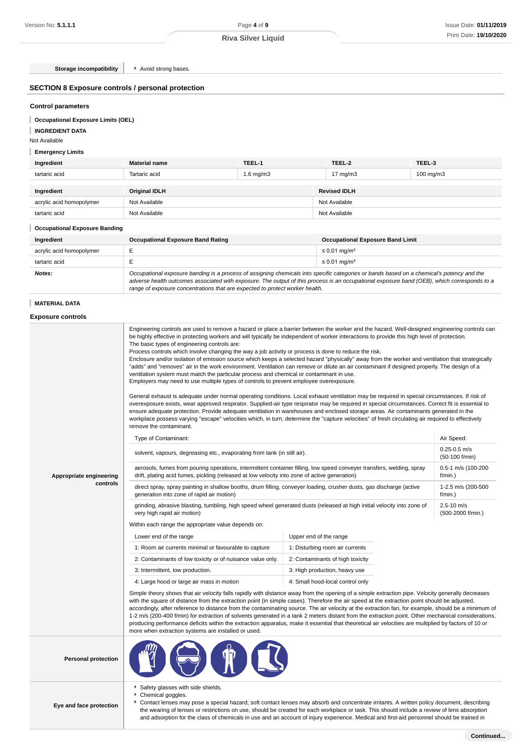**Storage incompatibility F** Avoid strong bases.

## **SECTION 8 Exposure controls / personal protection**

## **Control parameters**

**Occupational Exposure Limits (OEL)**

## **INGREDIENT DATA**

Not Available

## **Emergency Limits**

| Ingredient               | <b>Material name</b> | TEEL-1         | TEEL-2              | TEEL-3         |
|--------------------------|----------------------|----------------|---------------------|----------------|
| tartaric acid            | Tartaric acid        | $1.6$ mg/m $3$ | $17 \text{ mg/m}$   | $100$ mg/m $3$ |
|                          |                      |                |                     |                |
| Ingredient               | <b>Original IDLH</b> |                | <b>Revised IDLH</b> |                |
| acrylic acid homopolymer | Not Available        |                | Not Available       |                |
| tartaric acid            | Not Available        |                | Not Available       |                |

#### **Occupational Exposure Banding**

| Ingredient               | <b>Occupational Exposure Band Rating</b>                                                                                                                                                                                                                                                 | <b>Occupational Exposure Band Limit</b> |
|--------------------------|------------------------------------------------------------------------------------------------------------------------------------------------------------------------------------------------------------------------------------------------------------------------------------------|-----------------------------------------|
| acrylic acid homopolymer |                                                                                                                                                                                                                                                                                          | ≤ 0.01 mg/m <sup>3</sup>                |
| tartaric acid            |                                                                                                                                                                                                                                                                                          | $\leq$ 0.01 mg/m <sup>3</sup>           |
| Notes:                   | Occupational exposure banding is a process of assigning chemicals into specific categories or bands based on a chemical's potency and the<br>adverse health outcomes associated with exposure. The output of this process is an occupational exposure band (OEB), which corresponds to a |                                         |

range of exposure concentrations that are expected to protect worker health.

#### **MATERIAL DATA**

## **Exposure controls**

| Appropriate engineering<br>controls | Engineering controls are used to remove a hazard or place a barrier between the worker and the hazard. Well-designed engineering controls can<br>be highly effective in protecting workers and will typically be independent of worker interactions to provide this high level of protection.<br>The basic types of engineering controls are:<br>Process controls which involve changing the way a job activity or process is done to reduce the risk.<br>Enclosure and/or isolation of emission source which keeps a selected hazard "physically" away from the worker and ventilation that strategically<br>"adds" and "removes" air in the work environment. Ventilation can remove or dilute an air contaminant if designed properly. The design of a<br>ventilation system must match the particular process and chemical or contaminant in use.<br>Employers may need to use multiple types of controls to prevent employee overexposure.<br>General exhaust is adequate under normal operating conditions. Local exhaust ventilation may be required in special circumstances. If risk of<br>overexposure exists, wear approved respirator. Supplied-air type respirator may be required in special circumstances. Correct fit is essential to<br>ensure adequate protection. Provide adequate ventilation in warehouses and enclosed storage areas. Air contaminants generated in the<br>workplace possess varying "escape" velocities which, in turn, determine the "capture velocities" of fresh circulating air required to effectively<br>remove the contaminant.<br>Type of Contaminant:<br>solvent, vapours, degreasing etc., evaporating from tank (in still air).<br>aerosols, fumes from pouring operations, intermittent container filling, low speed conveyer transfers, welding, spray<br>drift, plating acid fumes, pickling (released at low velocity into zone of active generation)<br>direct spray, spray painting in shallow booths, drum filling, conveyer loading, crusher dusts, gas discharge (active<br>generation into zone of rapid air motion)<br>grinding, abrasive blasting, tumbling, high speed wheel generated dusts (released at high initial velocity into zone of<br>very high rapid air motion)<br>Within each range the appropriate value depends on:<br>Lower end of the range<br>1: Room air currents minimal or favourable to capture<br>2: Contaminants of low toxicity or of nuisance value only.<br>3: Intermittent, low production.<br>4: Large hood or large air mass in motion<br>Simple theory shows that air velocity falls rapidly with distance away from the opening of a simple extraction pipe. Velocity generally decreases<br>with the square of distance from the extraction point (in simple cases). Therefore the air speed at the extraction point should be adjusted, | Upper end of the range<br>1: Disturbing room air currents<br>2: Contaminants of high toxicity<br>3: High production, heavy use<br>4: Small hood-local control only | Air Speed:<br>$0.25 - 0.5$ m/s<br>(50-100 f/min)<br>0.5-1 m/s (100-200<br>f/min.)<br>1-2.5 m/s (200-500<br>f/min.)<br>$2.5 - 10$ m/s<br>(500-2000 f/min.) |  |
|-------------------------------------|------------------------------------------------------------------------------------------------------------------------------------------------------------------------------------------------------------------------------------------------------------------------------------------------------------------------------------------------------------------------------------------------------------------------------------------------------------------------------------------------------------------------------------------------------------------------------------------------------------------------------------------------------------------------------------------------------------------------------------------------------------------------------------------------------------------------------------------------------------------------------------------------------------------------------------------------------------------------------------------------------------------------------------------------------------------------------------------------------------------------------------------------------------------------------------------------------------------------------------------------------------------------------------------------------------------------------------------------------------------------------------------------------------------------------------------------------------------------------------------------------------------------------------------------------------------------------------------------------------------------------------------------------------------------------------------------------------------------------------------------------------------------------------------------------------------------------------------------------------------------------------------------------------------------------------------------------------------------------------------------------------------------------------------------------------------------------------------------------------------------------------------------------------------------------------------------------------------------------------------------------------------------------------------------------------------------------------------------------------------------------------------------------------------------------------------------------------------------------------------------------------------------------------------------------------------------------------------------------------------------------------------------------------------------------------------------------------------------------------------------------------------------------------------------------------------------------------------|--------------------------------------------------------------------------------------------------------------------------------------------------------------------|-----------------------------------------------------------------------------------------------------------------------------------------------------------|--|
|                                     | accordingly, after reference to distance from the contaminating source. The air velocity at the extraction fan, for example, should be a minimum of<br>1-2 m/s (200-400 f/min) for extraction of solvents generated in a tank 2 meters distant from the extraction point. Other mechanical considerations,<br>producing performance deficits within the extraction apparatus, make it essential that theoretical air velocities are multiplied by factors of 10 or<br>more when extraction systems are installed or used.                                                                                                                                                                                                                                                                                                                                                                                                                                                                                                                                                                                                                                                                                                                                                                                                                                                                                                                                                                                                                                                                                                                                                                                                                                                                                                                                                                                                                                                                                                                                                                                                                                                                                                                                                                                                                                                                                                                                                                                                                                                                                                                                                                                                                                                                                                                |                                                                                                                                                                    |                                                                                                                                                           |  |
| <b>Personal protection</b>          |                                                                                                                                                                                                                                                                                                                                                                                                                                                                                                                                                                                                                                                                                                                                                                                                                                                                                                                                                                                                                                                                                                                                                                                                                                                                                                                                                                                                                                                                                                                                                                                                                                                                                                                                                                                                                                                                                                                                                                                                                                                                                                                                                                                                                                                                                                                                                                                                                                                                                                                                                                                                                                                                                                                                                                                                                                          |                                                                                                                                                                    |                                                                                                                                                           |  |
| Eye and face protection             | Safety glasses with side shields.<br>r.<br>Chemical goggles.<br>Contact lenses may pose a special hazard; soft contact lenses may absorb and concentrate irritants. A written policy document, describing<br>٠<br>the wearing of lenses or restrictions on use, should be created for each workplace or task. This should include a review of lens absorption                                                                                                                                                                                                                                                                                                                                                                                                                                                                                                                                                                                                                                                                                                                                                                                                                                                                                                                                                                                                                                                                                                                                                                                                                                                                                                                                                                                                                                                                                                                                                                                                                                                                                                                                                                                                                                                                                                                                                                                                                                                                                                                                                                                                                                                                                                                                                                                                                                                                            |                                                                                                                                                                    |                                                                                                                                                           |  |

and adsorption for the class of chemicals in use and an account of injury experience. Medical and first-aid personnel should be trained in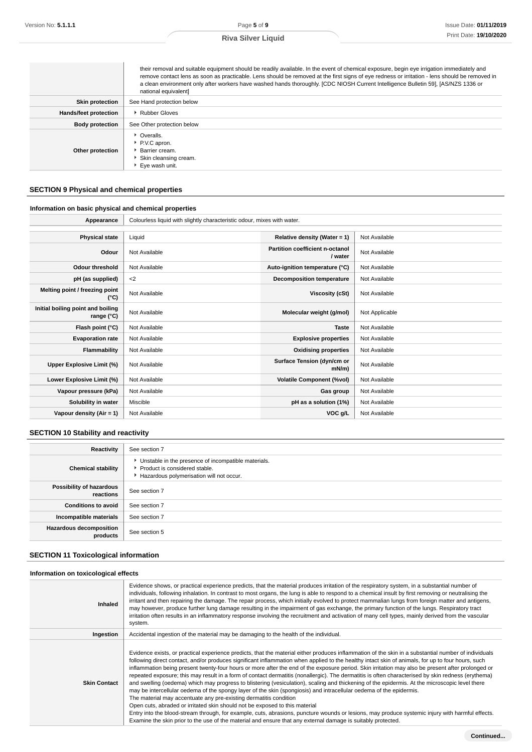|                        | their removal and suitable equipment should be readily available. In the event of chemical exposure, begin eye irrigation immediately and<br>remove contact lens as soon as practicable. Lens should be removed at the first signs of eye redness or irritation - lens should be removed in<br>a clean environment only after workers have washed hands thoroughly. [CDC NIOSH Current Intelligence Bulletin 59], [AS/NZS 1336 or<br>national equivalent] |
|------------------------|-----------------------------------------------------------------------------------------------------------------------------------------------------------------------------------------------------------------------------------------------------------------------------------------------------------------------------------------------------------------------------------------------------------------------------------------------------------|
| <b>Skin protection</b> | See Hand protection below                                                                                                                                                                                                                                                                                                                                                                                                                                 |
| Hands/feet protection  | Rubber Gloves                                                                                                                                                                                                                                                                                                                                                                                                                                             |
| <b>Body protection</b> | See Other protection below                                                                                                                                                                                                                                                                                                                                                                                                                                |
| Other protection       | • Overalls.<br>P.V.C apron.<br>▶ Barrier cream.<br>Skin cleansing cream.<br>Eye wash unit.                                                                                                                                                                                                                                                                                                                                                                |

## **SECTION 9 Physical and chemical properties**

## **Information on basic physical and chemical properties**

| Appearance                                      | Colourless liquid with slightly characteristic odour, mixes with water. |                                            |                |
|-------------------------------------------------|-------------------------------------------------------------------------|--------------------------------------------|----------------|
|                                                 |                                                                         |                                            |                |
| <b>Physical state</b>                           | Liquid                                                                  | Relative density (Water = 1)               | Not Available  |
| Odour                                           | Not Available                                                           | Partition coefficient n-octanol<br>/ water | Not Available  |
| Odour threshold                                 | Not Available                                                           | Auto-ignition temperature (°C)             | Not Available  |
| pH (as supplied)                                | $<$ 2                                                                   | <b>Decomposition temperature</b>           | Not Available  |
| Melting point / freezing point<br>(°C)          | Not Available                                                           | Viscosity (cSt)                            | Not Available  |
| Initial boiling point and boiling<br>range (°C) | Not Available                                                           | Molecular weight (g/mol)                   | Not Applicable |
| Flash point (°C)                                | Not Available                                                           | <b>Taste</b>                               | Not Available  |
| <b>Evaporation rate</b>                         | Not Available                                                           | <b>Explosive properties</b>                | Not Available  |
| Flammability                                    | Not Available                                                           | <b>Oxidising properties</b>                | Not Available  |
| Upper Explosive Limit (%)                       | Not Available                                                           | Surface Tension (dyn/cm or<br>$mN/m$ )     | Not Available  |
| Lower Explosive Limit (%)                       | Not Available                                                           | <b>Volatile Component (%vol)</b>           | Not Available  |
| Vapour pressure (kPa)                           | Not Available                                                           | Gas group                                  | Not Available  |
| Solubility in water                             | Miscible                                                                | pH as a solution (1%)                      | Not Available  |
| Vapour density $(Air = 1)$                      | Not Available                                                           | VOC g/L                                    | Not Available  |

## **SECTION 10 Stability and reactivity**

| Reactivity                                 | See section 7                                                                                                                        |
|--------------------------------------------|--------------------------------------------------------------------------------------------------------------------------------------|
| <b>Chemical stability</b>                  | • Unstable in the presence of incompatible materials.<br>▶ Product is considered stable.<br>Hazardous polymerisation will not occur. |
| Possibility of hazardous<br>reactions      | See section 7                                                                                                                        |
| <b>Conditions to avoid</b>                 | See section 7                                                                                                                        |
| Incompatible materials                     | See section 7                                                                                                                        |
| <b>Hazardous decomposition</b><br>products | See section 5                                                                                                                        |

## **SECTION 11 Toxicological information**

#### **Information on toxicological effects**

| Inhaled             | Evidence shows, or practical experience predicts, that the material produces irritation of the respiratory system, in a substantial number of<br>individuals, following inhalation. In contrast to most organs, the lung is able to respond to a chemical insult by first removing or neutralising the<br>irritant and then repairing the damage. The repair process, which initially evolved to protect mammalian lungs from foreign matter and antigens,<br>may however, produce further lung damage resulting in the impairment of gas exchange, the primary function of the lungs. Respiratory tract<br>irritation often results in an inflammatory response involving the recruitment and activation of many cell types, mainly derived from the vascular<br>system.                                                                                                                                                                                                                                                                                                                                                                                                                                                                                                                                             |
|---------------------|-----------------------------------------------------------------------------------------------------------------------------------------------------------------------------------------------------------------------------------------------------------------------------------------------------------------------------------------------------------------------------------------------------------------------------------------------------------------------------------------------------------------------------------------------------------------------------------------------------------------------------------------------------------------------------------------------------------------------------------------------------------------------------------------------------------------------------------------------------------------------------------------------------------------------------------------------------------------------------------------------------------------------------------------------------------------------------------------------------------------------------------------------------------------------------------------------------------------------------------------------------------------------------------------------------------------------|
| Ingestion           | Accidental ingestion of the material may be damaging to the health of the individual.                                                                                                                                                                                                                                                                                                                                                                                                                                                                                                                                                                                                                                                                                                                                                                                                                                                                                                                                                                                                                                                                                                                                                                                                                                 |
| <b>Skin Contact</b> | Evidence exists, or practical experience predicts, that the material either produces inflammation of the skin in a substantial number of individuals<br>following direct contact, and/or produces significant inflammation when applied to the healthy intact skin of animals, for up to four hours, such<br>inflammation being present twenty-four hours or more after the end of the exposure period. Skin irritation may also be present after prolonged or<br>repeated exposure; this may result in a form of contact dermatitis (nonallergic). The dermatitis is often characterised by skin redness (erythema)<br>and swelling (oedema) which may progress to blistering (vesiculation), scaling and thickening of the epidermis. At the microscopic level there<br>may be intercellular oedema of the spongy layer of the skin (spongiosis) and intracellular oedema of the epidermis.<br>The material may accentuate any pre-existing dermatitis condition<br>Open cuts, abraded or irritated skin should not be exposed to this material<br>Entry into the blood-stream through, for example, cuts, abrasions, puncture wounds or lesions, may produce systemic injury with harmful effects.<br>Examine the skin prior to the use of the material and ensure that any external damage is suitably protected. |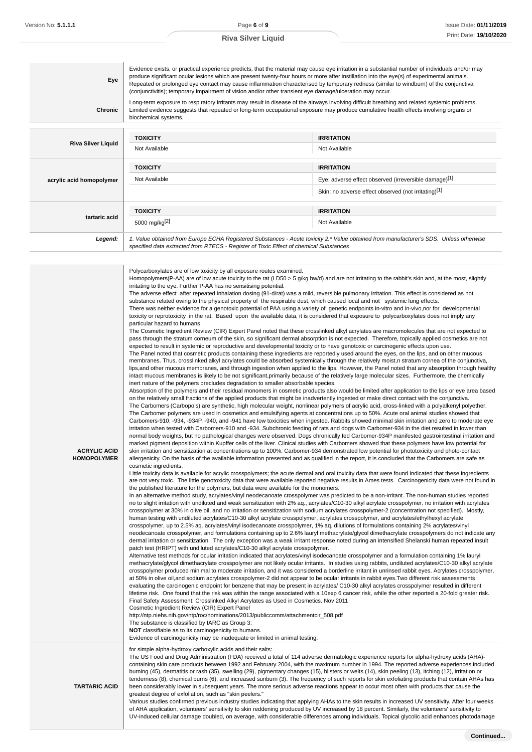#### **Eye** Evidence exists, or practical experience predicts, that the material may cause eye irritation in a substantial number of individuals and/or may produce significant ocular lesions which are present twenty-four hours or more after instillation into the eye(s) of experimental animals. Repeated or prolonged eye contact may cause inflammation characterised by temporary redness (similar to windburn) of the conjunctiva (conjunctivitis); temporary impairment of vision and/or other transient eye damage/ulceration may occur. **Chronic** Long-term exposure to respiratory irritants may result in disease of the airways involving difficult breathing and related systemic problems. Limited evidence suggests that repeated or long-term occupational exposure may produce cumulative health effects involving organs or biochemical systems. **Riva Silver Liquid TOXICITY IRRITATION** Not Available Not Available **acrylic acid homopolymer TOXICITY IRRITATION** Not Available **Eye:** adverse effect observed (irreversible damage)<sup>[1]</sup> Skin: no adverse effect observed (not irritating)<sup>[1]</sup> **tartaric acid TOXICITY IRRITATION** 5000 mg/kg<sup>[2]</sup> Not Available Legend: | 1. Value obtained from Europe ECHA Registered Substances - Acute toxicity 2.\* Value obtained from manufacturer's SDS. Unless otherwise specified data extracted from RTECS - Register of Toxic Effect of chemical Substances **ACRYLIC ACID HOMOPOLYMER** Polycarboxylates are of low toxicity by all exposure routes examined. Homopolymers(P-AA) are of low acute toxicity to the rat (LD50 > 5 g/kg bw/d) and are not irritating to the rabbit's skin and, at the most, slightly irritating to the eye. Further P-AA has no sensitising potential. The adverse effect after repeated inhalation dosing (91-d/rat) was a mild, reversible pulmonary irritation. This effect is considered as not substance related owing to the physical property of the respirable dust, which caused local and not systemic lung effects. There was neither evidence for a genotoxic potential of PAA using a variety of genetic endpoints in-vitro and in-vivo,nor for developmental toxicity or reprotoxicity in the rat. Based upon the available data, it is considered that exposure to polycarboxylates does not imply any particular hazard to humans The Cosmetic Ingredient Review (CIR) Expert Panel noted that these crosslinked alkyl acrylates are macromolecules that are not expected to pass through the stratum corneum of the skin, so significant dermal absorption is not expected. Therefore, topically applied cosmetics are not expected to result in systemic or reproductive and developmental toxicity or to have genotoxic or carcinogenic effects upon use. The Panel noted that cosmetic products containing these ingredients are reportedly used around the eyes, on the lips, and on other mucous membranes. Thus, crosslinked alkyl acrylates could be absorbed systemically through the relatively moist,n stratum cornea of the conjunctiva, lips,and other mucous membranes, and through ingestion when applied to the lips. However, the Panel noted that any absorption through healthy intact mucous membranes is likely to be not significant,primarily because of the relatively large molecular sizes. Furthermore, the chemically inert nature of the polymers precludes degradation to smaller absorbable species. Absorption of the polymers and their residual monomers in cosmetic products also would be limited after application to the lips or eye area based on the relatively small fractions of the applied products that might be inadvertently ingested or make direct contact with the conjunctiva. The Carbomers (Carbopols) are synthetic, high molecular weight, nonlinear polymers of acrylic acid, cross-linked with a polyalkenyl polyether. The Carbomer polymers are used in cosmetics and emulsifying agents at concentrations up to 50%. Acute oral animal studies showed that Carbomers-910, -934, -934P, -940, and -941 have low toxicities when ingested. Rabbits showed minimal skin irritation and zero to moderate eye irritation when tested with Carbomers-910 and -934. Subchronic feeding of rats and dogs with Carbomer-934 in the diet resulted in lower than normal body weights, but no pathological changes were observed. Dogs chronically fed Carbomer-934P manifested gastrointestinal irritation and marked pigment deposition within Kupffer cells of the liver. Clinical studies with Carbomers showed that these polymers have low potential for skin irritation and sensitization at concentrations up to 100%. Carbomer-934 demonstrated low potential for phototoxicity and photo-contact allergenicity. On the basis of the available information presented and as qualified in the report, it is concluded that the Carbomers are safe as cosmetic ingredients. Little toxicity data is available for acrylic crosspolymers; the acute dermal and oral toxicity data that were found indicated that these ingredients are not very toxic. The little genotoxicity data that were available reported negative results in Ames tests. Carcinogenicity data were not found in the published literature for the polymers, but data were available for the monomers. In an alternative method study, acrylates/vinyl neodecanoate crosspolymer was predicted to be a non-irritant. The non-human studies reported no to slight irritation with undiluted and weak sensitization with 2% aq., acrylates/C10-30 alkyl acrylate crosspolymer, no irritation with acrylates crosspolymer at 30% in olive oil, and no irritation or sensitization with sodium acrylates crosspolymer-2 (concentration not specified). Mostly, human testing with undiluted acrylates/C10-30 alkyl acrylate crosspolymer, acrylates crosspolymer, and acrylates/ethylhexyl acrylate crosspolymer, up to 2.5% aq. acrylates/vinyl isodecanoate crosspolymer, 1% aq. dilutions of formulations containing 2% acrylates/vinyl neodecanoate crosspolymer, and formulations containing up to 2.6% lauryl methacrylate/glycol dimethacrylate crosspolymers do not indicate any dermal irritation or sensitization. The only exception was a weak irritant response noted during an intensified Shelanski human repeated insult patch test (HRIPT) with undiluted acrylates/C10-30 alkyl acrylate crosspolymer. Alternative test methods for ocular irritation indicated that acrylates/vinyl isodecanoate crosspolymer and a formulation containing 1% lauryl methacrylate/glycol dimethacrylate crosspolymer are not likely ocular irritants. In studies using rabbits, undiluted acrylates/C10-30 alkyl acrylate crosspolymer produced minimal to moderate irritation, and it was considered a borderline irritant in unrinsed rabbit eyes. Acrylates crosspolymer, at 50% in olive oil,and sodium acrylates crosspolymer-2 did not appear to be ocular irritants in rabbit eyes.Two different risk assessments evaluating the carcinogenic endpoint for benzene that may be present in acrylates/ C10-30 alkyl acrylates crosspolymer resulted in different lifetime risk. One found that the risk was within the range associated with a 10exp 6 cancer risk, while the other reported a 20-fold greater risk. Final Safety Assessment: Crosslinked Alkyl Acrylates as Used in Cosmetics. Nov 2011 Cosmetic Ingredient Review (CIR) Expert Panel http://ntp.niehs.nih.gov/ntp/roc/nominations/2013/publiccomm/attachmentcir\_508.pdf The substance is classified by IARC as Group 3: **NOT** classifiable as to its carcinogenicity to humans. Evidence of carcinogenicity may be inadequate or limited in animal testing. **TARTARIC ACID** for simple alpha-hydroxy carboxylic acids and their salts: The US Food and Drug Administration (FDA) received a total of 114 adverse dermatologic experience reports for alpha-hydroxy acids (AHA) containing skin care products between 1992 and February 2004, with the maximum number in 1994. The reported adverse experiences included burning (45), dermatitis or rash (35), swelling (29), pigmentary changes (15), blisters or welts (14), skin peeling (13), itching (12), irritation or tenderness (8), chemical burns (6), and increased sunburn (3). The frequency of such reports for skin exfoliating products that contain AHAs has been considerably lower in subsequent years. The more serious adverse reactions appear to occur most often with products that cause the greatest degree of exfoliation, such as "skin peelers." Various studies confirmed previous industry studies indicating that applying AHAs to the skin results in increased UV sensitivity. After four weeks of AHA application, volunteers' sensitivity to skin reddening produced by UV increased by 18 percent. Similarly, the volunteers' sensitivity to UV-induced cellular damage doubled, on average, with considerable differences among individuals. Topical glycolic acid enhances photodamage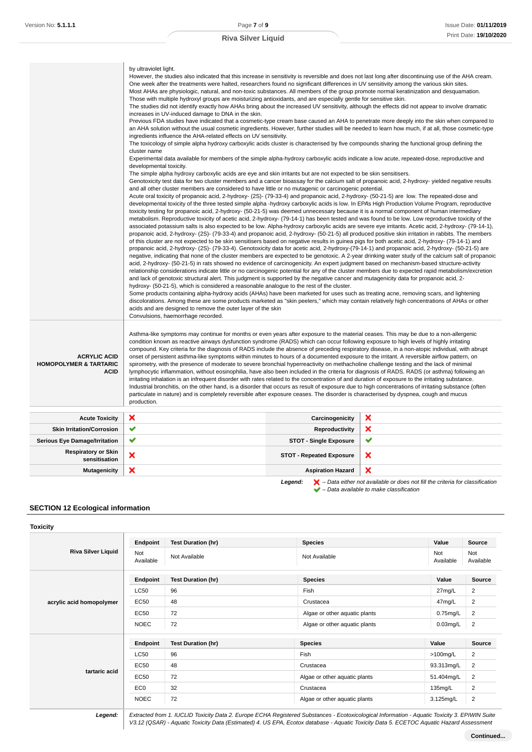|                                                                         | by ultraviolet light.<br>However, the studies also indicated that this increase in sensitivity is reversible and does not last long after discontinuing use of the AHA cream.<br>One week after the treatments were halted, researchers found no significant differences in UV sensitivity among the various skin sites.<br>Most AHAs are physiologic, natural, and non-toxic substances. All members of the group promote normal keratinization and desquamation.<br>Those with multiple hydroxyl groups are moisturizing antioxidants, and are especially gentle for sensitive skin.<br>The studies did not identify exactly how AHAs bring about the increased UV sensitivity, although the effects did not appear to involve dramatic<br>increases in UV-induced damage to DNA in the skin.<br>Previous FDA studies have indicated that a cosmetic-type cream base caused an AHA to penetrate more deeply into the skin when compared to<br>an AHA solution without the usual cosmetic ingredients. However, further studies will be needed to learn how much, if at all, those cosmetic-type<br>ingredients influence the AHA-related effects on UV sensitivity.<br>The toxicology of simple alpha hydroxy carboxylic acids cluster is characterised by five compounds sharing the functional group defining the<br>cluster name<br>Experimental data available for members of the simple alpha-hydroxy carboxylic acids indicate a low acute, repeated-dose, reproductive and<br>developmental toxicity.<br>The simple alpha hydroxy carboxylic acids are eye and skin irritants but are not expected to be skin sensitisers.<br>Genotoxicity test data for two cluster members and a cancer bioassay for the calcium salt of propanoic acid, 2-hydroxy-yielded negative results<br>and all other cluster members are considered to have little or no mutagenic or carcinogenic potential.<br>Acute oral toxicity of propanoic acid, 2-hydroxy- (2S)- (79-33-4) and propanoic acid, 2-hydroxy- (50-21-5) are low. The repeated-dose and<br>developmental toxicity of the three tested simple alpha -hydroxy carboxylic acids is low. In EPA's High Production Volume Program, reproductive<br>toxicity testing for propanoic acid, 2-hydroxy- (50-21-5) was deemed unnecessary because it is a normal component of human intermediary<br>metabolism. Reproductive toxicity of acetic acid, 2-hydroxy- (79-14-1) has been tested and was found to be low. Low reproductive toxicity of the<br>associated potassium salts is also expected to be low. Alpha-hydroxy carboxylic acids are severe eye irritants. Acetic acid, 2-hydroxy- (79-14-1),<br>propanoic acid, 2-hydroxy- (2S)- (79-33-4) and propanoic acid, 2-hydroxy- (50-21-5) all produced positive skin irritation in rabbits. The members<br>of this cluster are not expected to be skin sensitisers based on negative results in guinea pigs for both acetic acid, 2-hydroxy- (79-14-1) and<br>propanoic acid, 2-hydroxy- (2S)- (79-33-4). Genotoxicity data for acetic acid, 2-hydroxy-(79-14-1) and propanoic acid, 2-hydroxy- (50-21-5) are<br>negative, indicating that none of the cluster members are expected to be genotoxic. A 2-year drinking water study of the calcium salt of propanoic<br>acid, 2-hydroxy- (50-21-5) in rats showed no evidence of carcinogenicity. An expert judgment based on mechanism-based structure-activity<br>relationship considerations indicate little or no carcinogenic potential for any of the cluster members due to expected rapid metabolism/excretion<br>and lack of genotoxic structural alert. This judgment is supported by the negative cancer and mutagenicity data for propanoic acid, 2-<br>hydroxy- (50-21-5), which is considered a reasonable analogue to the rest of the cluster.<br>Some products containing alpha-hydroxy acids (AHAs) have been marketed for uses such as treating acne, removing scars, and lightening<br>discolorations. Among these are some products marketed as "skin peelers," which may contain relatively high concentrations of AHAs or other<br>acids and are designed to remove the outer layer of the skin<br>Convulsions, haemorrhage recorded. |                                 |   |
|-------------------------------------------------------------------------|---------------------------------------------------------------------------------------------------------------------------------------------------------------------------------------------------------------------------------------------------------------------------------------------------------------------------------------------------------------------------------------------------------------------------------------------------------------------------------------------------------------------------------------------------------------------------------------------------------------------------------------------------------------------------------------------------------------------------------------------------------------------------------------------------------------------------------------------------------------------------------------------------------------------------------------------------------------------------------------------------------------------------------------------------------------------------------------------------------------------------------------------------------------------------------------------------------------------------------------------------------------------------------------------------------------------------------------------------------------------------------------------------------------------------------------------------------------------------------------------------------------------------------------------------------------------------------------------------------------------------------------------------------------------------------------------------------------------------------------------------------------------------------------------------------------------------------------------------------------------------------------------------------------------------------------------------------------------------------------------------------------------------------------------------------------------------------------------------------------------------------------------------------------------------------------------------------------------------------------------------------------------------------------------------------------------------------------------------------------------------------------------------------------------------------------------------------------------------------------------------------------------------------------------------------------------------------------------------------------------------------------------------------------------------------------------------------------------------------------------------------------------------------------------------------------------------------------------------------------------------------------------------------------------------------------------------------------------------------------------------------------------------------------------------------------------------------------------------------------------------------------------------------------------------------------------------------------------------------------------------------------------------------------------------------------------------------------------------------------------------------------------------------------------------------------------------------------------------------------------------------------------------------------------------------------------------------------------------------------------------------------------------------------------------------------------------------------------------------------------------------------------------------------------------------------------------------------------------------------------------------------------------------------------------------------------------------------------------------------------------------------------------------------------------------------------------------------------------------------------------------------------------------------------------------------------------------------|---------------------------------|---|
| <b>ACRYLIC ACID</b><br><b>HOMOPOLYMER &amp; TARTARIC</b><br><b>ACID</b> | Asthma-like symptoms may continue for months or even years after exposure to the material ceases. This may be due to a non-allergenic<br>condition known as reactive airways dysfunction syndrome (RADS) which can occur following exposure to high levels of highly irritating<br>compound. Key criteria for the diagnosis of RADS include the absence of preceding respiratory disease, in a non-atopic individual, with abrupt<br>onset of persistent asthma-like symptoms within minutes to hours of a documented exposure to the irritant. A reversible airflow pattern, on<br>spirometry, with the presence of moderate to severe bronchial hyperreactivity on methacholine challenge testing and the lack of minimal<br>lymphocytic inflammation, without eosinophilia, have also been included in the criteria for diagnosis of RADS. RADS (or asthma) following an<br>irritating inhalation is an infrequent disorder with rates related to the concentration of and duration of exposure to the irritating substance.<br>Industrial bronchitis, on the other hand, is a disorder that occurs as result of exposure due to high concentrations of irritating substance (often<br>particulate in nature) and is completely reversible after exposure ceases. The disorder is characterised by dyspnea, cough and mucus<br>production.                                                                                                                                                                                                                                                                                                                                                                                                                                                                                                                                                                                                                                                                                                                                                                                                                                                                                                                                                                                                                                                                                                                                                                                                                                                                                                                                                                                                                                                                                                                                                                                                                                                                                                                                                                                                                                                                                                                                                                                                                                                                                                                                                                                                                                                                                                                                                                                                                                                                                                                                                                                                                                                                                                                                                                                                                                                                 |                                 |   |
| <b>Acute Toxicity</b>                                                   | ×                                                                                                                                                                                                                                                                                                                                                                                                                                                                                                                                                                                                                                                                                                                                                                                                                                                                                                                                                                                                                                                                                                                                                                                                                                                                                                                                                                                                                                                                                                                                                                                                                                                                                                                                                                                                                                                                                                                                                                                                                                                                                                                                                                                                                                                                                                                                                                                                                                                                                                                                                                                                                                                                                                                                                                                                                                                                                                                                                                                                                                                                                                                                                                                                                                                                                                                                                                                                                                                                                                                                                                                                                                                                                                                                                                                                                                                                                                                                                                                                                                                                                                                                                                                                             | Carcinogenicity                 | × |
| <b>Skin Irritation/Corrosion</b>                                        | ✔                                                                                                                                                                                                                                                                                                                                                                                                                                                                                                                                                                                                                                                                                                                                                                                                                                                                                                                                                                                                                                                                                                                                                                                                                                                                                                                                                                                                                                                                                                                                                                                                                                                                                                                                                                                                                                                                                                                                                                                                                                                                                                                                                                                                                                                                                                                                                                                                                                                                                                                                                                                                                                                                                                                                                                                                                                                                                                                                                                                                                                                                                                                                                                                                                                                                                                                                                                                                                                                                                                                                                                                                                                                                                                                                                                                                                                                                                                                                                                                                                                                                                                                                                                                                             | <b>Reproductivity</b>           | × |
| <b>Serious Eye Damage/Irritation</b>                                    | ✔                                                                                                                                                                                                                                                                                                                                                                                                                                                                                                                                                                                                                                                                                                                                                                                                                                                                                                                                                                                                                                                                                                                                                                                                                                                                                                                                                                                                                                                                                                                                                                                                                                                                                                                                                                                                                                                                                                                                                                                                                                                                                                                                                                                                                                                                                                                                                                                                                                                                                                                                                                                                                                                                                                                                                                                                                                                                                                                                                                                                                                                                                                                                                                                                                                                                                                                                                                                                                                                                                                                                                                                                                                                                                                                                                                                                                                                                                                                                                                                                                                                                                                                                                                                                             | <b>STOT - Single Exposure</b>   | ✔ |
| <b>Respiratory or Skin</b><br>sensitisation                             | ×                                                                                                                                                                                                                                                                                                                                                                                                                                                                                                                                                                                                                                                                                                                                                                                                                                                                                                                                                                                                                                                                                                                                                                                                                                                                                                                                                                                                                                                                                                                                                                                                                                                                                                                                                                                                                                                                                                                                                                                                                                                                                                                                                                                                                                                                                                                                                                                                                                                                                                                                                                                                                                                                                                                                                                                                                                                                                                                                                                                                                                                                                                                                                                                                                                                                                                                                                                                                                                                                                                                                                                                                                                                                                                                                                                                                                                                                                                                                                                                                                                                                                                                                                                                                             | <b>STOT - Repeated Exposure</b> | × |
| <b>Mutagenicity</b>                                                     | ×                                                                                                                                                                                                                                                                                                                                                                                                                                                                                                                                                                                                                                                                                                                                                                                                                                                                                                                                                                                                                                                                                                                                                                                                                                                                                                                                                                                                                                                                                                                                                                                                                                                                                                                                                                                                                                                                                                                                                                                                                                                                                                                                                                                                                                                                                                                                                                                                                                                                                                                                                                                                                                                                                                                                                                                                                                                                                                                                                                                                                                                                                                                                                                                                                                                                                                                                                                                                                                                                                                                                                                                                                                                                                                                                                                                                                                                                                                                                                                                                                                                                                                                                                                                                             | <b>Aspiration Hazard</b>        | × |
|                                                                         |                                                                                                                                                                                                                                                                                                                                                                                                                                                                                                                                                                                                                                                                                                                                                                                                                                                                                                                                                                                                                                                                                                                                                                                                                                                                                                                                                                                                                                                                                                                                                                                                                                                                                                                                                                                                                                                                                                                                                                                                                                                                                                                                                                                                                                                                                                                                                                                                                                                                                                                                                                                                                                                                                                                                                                                                                                                                                                                                                                                                                                                                                                                                                                                                                                                                                                                                                                                                                                                                                                                                                                                                                                                                                                                                                                                                                                                                                                                                                                                                                                                                                                                                                                                                               |                                 | . |

**Legend:**  $\mathbf{X}$  – Data either not available or does not fill the criteria for classification – Data available to make classification

## **SECTION 12 Ecological information**

| OXICI | И |
|-------|---|
|       |   |

|                           | Endpoint         | <b>Test Duration (hr)</b> | <b>Species</b>                | Value            | <b>Source</b>    |
|---------------------------|------------------|---------------------------|-------------------------------|------------------|------------------|
| <b>Riva Silver Liquid</b> | Not<br>Available | Not Available             | Not Available                 | Not<br>Available | Not<br>Available |
|                           | Endpoint         | <b>Test Duration (hr)</b> | <b>Species</b>                | Value            | Source           |
|                           | <b>LC50</b>      | 96                        | Fish                          | 27mg/L           | $\overline{2}$   |
| acrylic acid homopolymer  | <b>EC50</b>      | 48                        | Crustacea                     | 47mg/L           | $\overline{2}$   |
|                           | <b>EC50</b>      | 72                        | Algae or other aquatic plants | $0.75$ mg/L      | $\overline{2}$   |
|                           | <b>NOEC</b>      | 72                        | Algae or other aquatic plants | $0.03$ mg/L      | $\overline{2}$   |
|                           | Endpoint         | <b>Test Duration (hr)</b> | <b>Species</b>                | Value            | Source           |
| tartaric acid             | <b>LC50</b>      | 96                        | Fish                          | $>100$ mg/L      | $\overline{2}$   |
|                           | <b>EC50</b>      | 48                        | Crustacea                     | 93.313mg/L       | $\overline{2}$   |
|                           | <b>EC50</b>      | 72                        | Algae or other aquatic plants | 51.404mg/L       | $\overline{2}$   |
|                           | EC <sub>0</sub>  | 32                        | Crustacea                     | 135mg/L          | 2                |
|                           | <b>NOEC</b>      | 72                        | Algae or other aquatic plants | 3.125mg/L        | $\overline{c}$   |

**Legend:** Extracted from 1. IUCLID Toxicity Data 2. Europe ECHA Registered Substances - Ecotoxicological Information - Aquatic Toxicity 3. EPIWIN Suite V3.12 (QSAR) - Aquatic Toxicity Data (Estimated) 4. US EPA, Ecotox database - Aquatic Toxicity Data 5. ECETOC Aquatic Hazard Assessment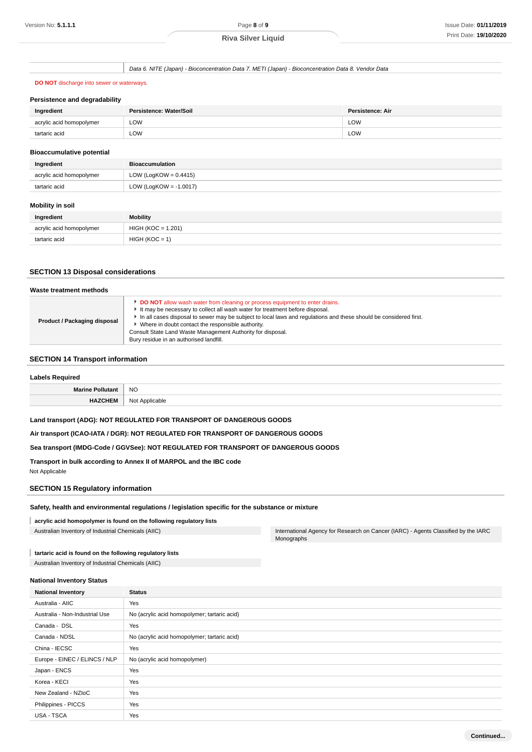Data 6. NITE (Japan) - Bioconcentration Data 7. METI (Japan) - Bioconcentration Data 8. Vendor Data

## **DO NOT** discharge into sewer or waterways.

| <b>Persistence and degradability</b> |  |  |  |  |
|--------------------------------------|--|--|--|--|
|--------------------------------------|--|--|--|--|

| Ingredient               | Persistence: Water/Soil | Persistence: Air |
|--------------------------|-------------------------|------------------|
| acrylic acid homopolymer | LOW<br>____             | LOW<br>____      |
| tartaric acid            | LOW                     | <b>LOW</b>       |

#### **Bioaccumulative potential**

| Ingredient               | <b>Bioaccumulation</b>    |  |
|--------------------------|---------------------------|--|
| acrylic acid homopolymer | LOW (LogKOW = $0.4415$ )  |  |
| tartaric acid            | LOW (LogKOW = $-1.0017$ ) |  |

#### **Mobility in soil**

| Ingredient               | <b>Mobility</b>      |  |
|--------------------------|----------------------|--|
| acrylic acid homopolymer | $HIGH (KOC = 1.201)$ |  |
| tartaric acid            | $HIGH (KOC = 1)$     |  |

## **SECTION 13 Disposal considerations**

| Waste treatment methods      |                                                                                                                                                                                                                                                                                                                                                                                                                                                          |
|------------------------------|----------------------------------------------------------------------------------------------------------------------------------------------------------------------------------------------------------------------------------------------------------------------------------------------------------------------------------------------------------------------------------------------------------------------------------------------------------|
| Product / Packaging disposal | <b>DO NOT</b> allow wash water from cleaning or process equipment to enter drains.<br>It may be necessary to collect all wash water for treatment before disposal.<br>In all cases disposal to sewer may be subject to local laws and regulations and these should be considered first.<br>• Where in doubt contact the responsible authority.<br>Consult State Land Waste Management Authority for disposal.<br>Bury residue in an authorised landfill. |

## **SECTION 14 Transport information**

| <b>Labels Required</b> |                     |  |
|------------------------|---------------------|--|
| Marine Pollutant       | <b>NO</b><br>$\sim$ |  |
| <b>HAZCHEM</b>         | Not Applicable      |  |

### **Land transport (ADG): NOT REGULATED FOR TRANSPORT OF DANGEROUS GOODS**

**Air transport (ICAO-IATA / DGR): NOT REGULATED FOR TRANSPORT OF DANGEROUS GOODS**

#### **Sea transport (IMDG-Code / GGVSee): NOT REGULATED FOR TRANSPORT OF DANGEROUS GOODS**

**Transport in bulk according to Annex II of MARPOL and the IBC code** Not Applicable

## **SECTION 15 Regulatory information**

**Safety, health and environmental regulations / legislation specific for the substance or mixture**

#### **acrylic acid homopolymer is found on the following regulatory lists**

Australian Inventory of Industrial Chemicals (AIIC) **International Agency for Research on Cancer (IARC)** - Agents Classified by the IARC Monographs

## **tartaric acid is found on the following regulatory lists**

Australian Inventory of Industrial Chemicals (AIIC)

#### **National Inventory Status**

| <b>National Inventory</b>      | <b>Status</b>                                |
|--------------------------------|----------------------------------------------|
| Australia - AIIC               | Yes                                          |
| Australia - Non-Industrial Use | No (acrylic acid homopolymer; tartaric acid) |
| Canada - DSL                   | Yes                                          |
| Canada - NDSL                  | No (acrylic acid homopolymer; tartaric acid) |
| China - IECSC                  | Yes                                          |
| Europe - EINEC / ELINCS / NLP  | No (acrylic acid homopolymer)                |
| Japan - ENCS                   | Yes                                          |
| Korea - KECI                   | Yes                                          |
| New Zealand - NZIoC            | Yes                                          |
| Philippines - PICCS            | Yes                                          |
| USA - TSCA                     | Yes                                          |